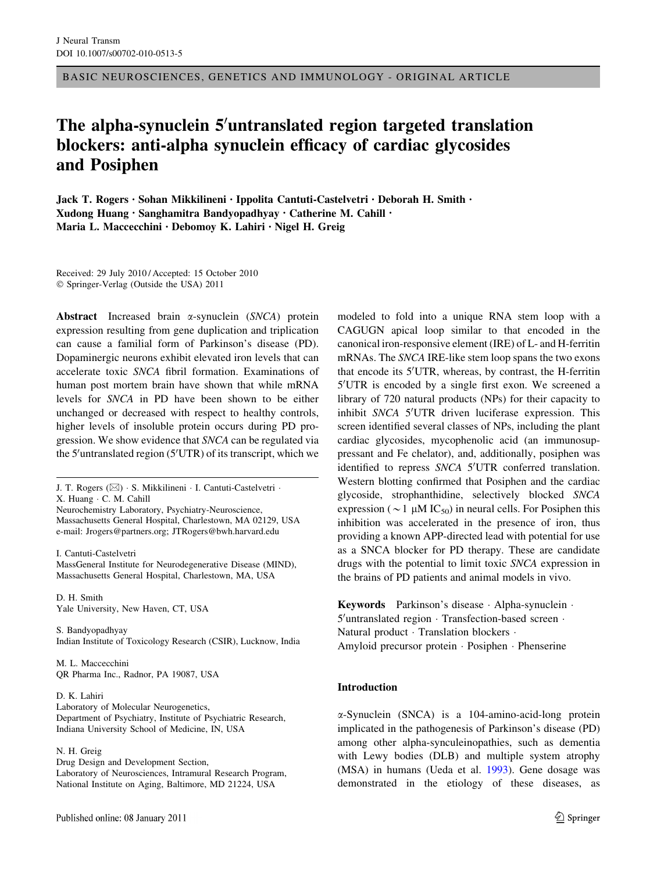BASIC NEUROSCIENCES, GENETICS AND IMMUNOLOGY - ORIGINAL ARTICLE

# The alpha-synuclein 5'untranslated region targeted translation blockers: anti-alpha synuclein efficacy of cardiac glycosides and Posiphen

Jack T. Rogers • Sohan Mikkilineni • Ippolita Cantuti-Castelvetri • Deborah H. Smith • Xudong Huang • Sanghamitra Bandyopadhyay • Catherine M. Cahill • Maria L. Maccecchini • Debomoy K. Lahiri • Nigel H. Greig

Received: 29 July 2010 / Accepted: 15 October 2010  $© Springer-Verlag (Outside the USA) 2011$ 

Abstract Increased brain  $\alpha$ -synuclein (SNCA) protein expression resulting from gene duplication and triplication can cause a familial form of Parkinson's disease (PD). Dopaminergic neurons exhibit elevated iron levels that can accelerate toxic SNCA fibril formation. Examinations of human post mortem brain have shown that while mRNA levels for SNCA in PD have been shown to be either unchanged or decreased with respect to healthy controls, higher levels of insoluble protein occurs during PD progression. We show evidence that SNCA can be regulated via the 5'untranslated region (5'UTR) of its transcript, which we

Neurochemistry Laboratory, Psychiatry-Neuroscience, Massachusetts General Hospital, Charlestown, MA 02129, USA e-mail: Jrogers@partners.org; JTRogers@bwh.harvard.edu

I. Cantuti-Castelvetri

MassGeneral Institute for Neurodegenerative Disease (MIND), Massachusetts General Hospital, Charlestown, MA, USA

D. H. Smith Yale University, New Haven, CT, USA

S. Bandyopadhyay Indian Institute of Toxicology Research (CSIR), Lucknow, India

M. L. Maccecchini QR Pharma Inc., Radnor, PA 19087, USA

D. K. Lahiri Laboratory of Molecular Neurogenetics, Department of Psychiatry, Institute of Psychiatric Research, Indiana University School of Medicine, IN, USA

N. H. Greig

Drug Design and Development Section, Laboratory of Neurosciences, Intramural Research Program, National Institute on Aging, Baltimore, MD 21224, USA

modeled to fold into a unique RNA stem loop with a CAGUGN apical loop similar to that encoded in the canonical iron-responsive element (IRE) of L- and H-ferritin mRNAs. The SNCA IRE-like stem loop spans the two exons that encode its 5'UTR, whereas, by contrast, the H-ferritin 5'UTR is encoded by a single first exon. We screened a library of 720 natural products (NPs) for their capacity to inhibit SNCA 5'UTR driven luciferase expression. This screen identified several classes of NPs, including the plant cardiac glycosides, mycophenolic acid (an immunosuppressant and Fe chelator), and, additionally, posiphen was identified to repress SNCA 5'UTR conferred translation. Western blotting confirmed that Posiphen and the cardiac glycoside, strophanthidine, selectively blocked SNCA expression ( $\sim$  1 µM IC<sub>50</sub>) in neural cells. For Posiphen this inhibition was accelerated in the presence of iron, thus providing a known APP-directed lead with potential for use as a SNCA blocker for PD therapy. These are candidate drugs with the potential to limit toxic SNCA expression in the brains of PD patients and animal models in vivo.

Keywords Parkinson's disease  $\cdot$  Alpha-synuclein  $\cdot$  $5'$ untranslated region  $\cdot$  Transfection-based screen  $\cdot$ Natural product · Translation blockers · Amyloid precursor protein · Posiphen · Phenserine

#### Introduction

a-Synuclein (SNCA) is a 104-amino-acid-long protein implicated in the pathogenesis of Parkinson's disease (PD) among other alpha-synculeinopathies, such as dementia with Lewy bodies (DLB) and multiple system atrophy (MSA) in humans (Ueda et al. [1993\)](#page-13-0). Gene dosage was demonstrated in the etiology of these diseases, as

J. T. Rogers ( $\boxtimes$ ) · S. Mikkilineni · I. Cantuti-Castelvetri · X. Huang · C. M. Cahill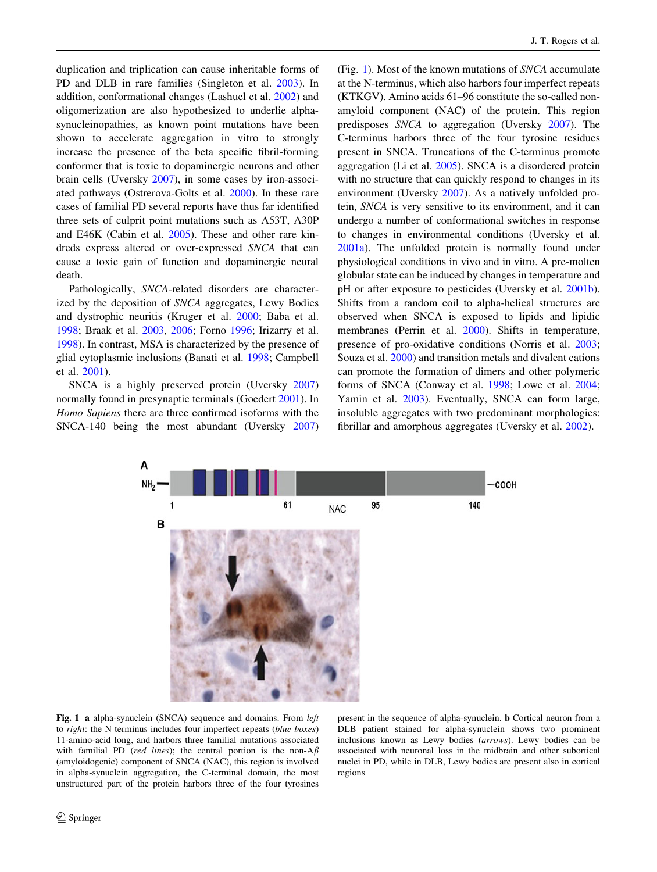duplication and triplication can cause inheritable forms of PD and DLB in rare families (Singleton et al. [2003\)](#page-13-0). In addition, conformational changes (Lashuel et al. [2002\)](#page-12-0) and oligomerization are also hypothesized to underlie alphasynucleinopathies, as known point mutations have been shown to accelerate aggregation in vitro to strongly increase the presence of the beta specific fibril-forming conformer that is toxic to dopaminergic neurons and other brain cells (Uversky [2007](#page-13-0)), in some cases by iron-associated pathways (Ostrerova-Golts et al. [2000](#page-13-0)). In these rare cases of familial PD several reports have thus far identified three sets of culprit point mutations such as A53T, A30P and E46K (Cabin et al. [2005\)](#page-11-0). These and other rare kindreds express altered or over-expressed SNCA that can cause a toxic gain of function and dopaminergic neural death.

Pathologically, SNCA-related disorders are characterized by the deposition of SNCA aggregates, Lewy Bodies and dystrophic neuritis (Kruger et al. [2000;](#page-12-0) Baba et al. [1998;](#page-11-0) Braak et al. [2003,](#page-11-0) [2006;](#page-11-0) Forno [1996;](#page-12-0) Irizarry et al. [1998\)](#page-12-0). In contrast, MSA is characterized by the presence of glial cytoplasmic inclusions (Banati et al. [1998](#page-11-0); Campbell et al. [2001\)](#page-11-0).

SNCA is a highly preserved protein (Uversky [2007\)](#page-13-0) normally found in presynaptic terminals (Goedert [2001](#page-12-0)). In Homo Sapiens there are three confirmed isoforms with the SNCA-140 being the most abundant (Uversky [2007\)](#page-13-0) (Fig. [1\)](#page-1-0). Most of the known mutations of SNCA accumulate at the N-terminus, which also harbors four imperfect repeats (KTKGV). Amino acids 61–96 constitute the so-called nonamyloid component (NAC) of the protein. This region predisposes SNCA to aggregation (Uversky [2007](#page-13-0)). The C-terminus harbors three of the four tyrosine residues present in SNCA. Truncations of the C-terminus promote aggregation (Li et al. [2005\)](#page-12-0). SNCA is a disordered protein with no structure that can quickly respond to changes in its environment (Uversky [2007\)](#page-13-0). As a natively unfolded protein, SNCA is very sensitive to its environment, and it can undergo a number of conformational switches in response to changes in environmental conditions (Uversky et al. [2001a\)](#page-13-0). The unfolded protein is normally found under physiological conditions in vivo and in vitro. A pre-molten globular state can be induced by changes in temperature and pH or after exposure to pesticides (Uversky et al. [2001b](#page-13-0)). Shifts from a random coil to alpha-helical structures are observed when SNCA is exposed to lipids and lipidic membranes (Perrin et al. [2000\)](#page-13-0). Shifts in temperature, presence of pro-oxidative conditions (Norris et al. [2003](#page-12-0); Souza et al. [2000](#page-13-0)) and transition metals and divalent cations can promote the formation of dimers and other polymeric forms of SNCA (Conway et al. [1998](#page-11-0); Lowe et al. [2004](#page-12-0); Yamin et al. [2003](#page-14-0)). Eventually, SNCA can form large, insoluble aggregates with two predominant morphologies: fibrillar and amorphous aggregates (Uversky et al. [2002\)](#page-13-0).



<span id="page-1-0"></span>Fig. 1 a alpha-synuclein (SNCA) sequence and domains. From *left* to right: the N terminus includes four imperfect repeats (blue boxes) 11-amino-acid long, and harbors three familial mutations associated with familial PD (red lines); the central portion is the non- $A\beta$ (amyloidogenic) component of SNCA (NAC), this region is involved in alpha-synuclein aggregation, the C-terminal domain, the most unstructured part of the protein harbors three of the four tyrosines

present in the sequence of alpha-synuclein. b Cortical neuron from a DLB patient stained for alpha-synuclein shows two prominent inclusions known as Lewy bodies (arrows). Lewy bodies can be associated with neuronal loss in the midbrain and other subortical nuclei in PD, while in DLB, Lewy bodies are present also in cortical regions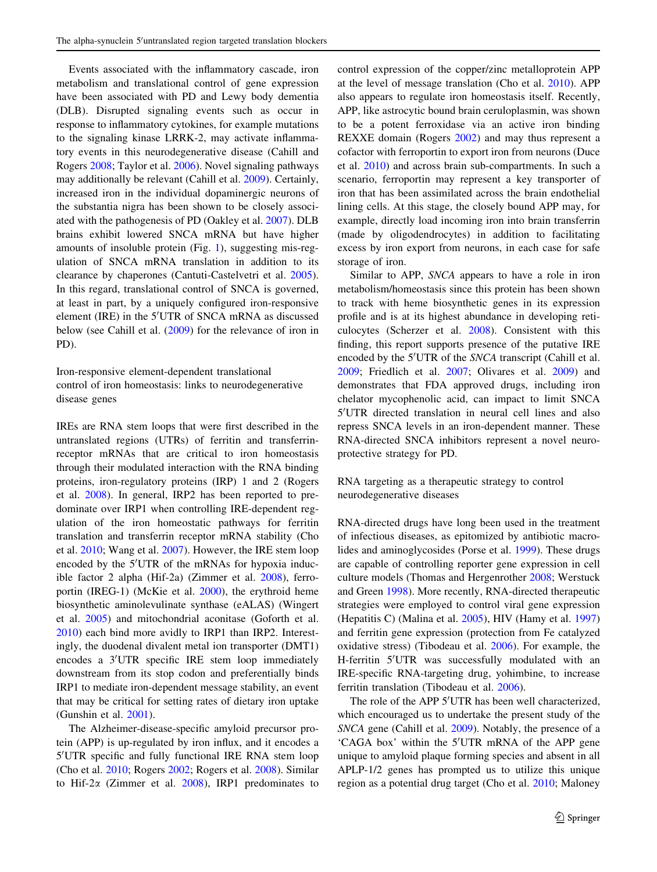Events associated with the inflammatory cascade, iron metabolism and translational control of gene expression have been associated with PD and Lewy body dementia (DLB). Disrupted signaling events such as occur in response to inflammatory cytokines, for example mutations to the signaling kinase LRRK-2, may activate inflammatory events in this neurodegenerative disease (Cahill and Rogers [2008;](#page-11-0) Taylor et al. [2006](#page-13-0)). Novel signaling pathways may additionally be relevant (Cahill et al. [2009\)](#page-11-0). Certainly, increased iron in the individual dopaminergic neurons of the substantia nigra has been shown to be closely associated with the pathogenesis of PD (Oakley et al. [2007](#page-12-0)). DLB brains exhibit lowered SNCA mRNA but have higher amounts of insoluble protein (Fig. [1\)](#page-1-0), suggesting mis-regulation of SNCA mRNA translation in addition to its clearance by chaperones (Cantuti-Castelvetri et al. [2005](#page-11-0)). In this regard, translational control of SNCA is governed, at least in part, by a uniquely configured iron-responsive element (IRE) in the 5'UTR of SNCA mRNA as discussed below (see Cahill et al. [\(2009](#page-11-0)) for the relevance of iron in PD).

# Iron-responsive element-dependent translational control of iron homeostasis: links to neurodegenerative disease genes

IREs are RNA stem loops that were first described in the untranslated regions (UTRs) of ferritin and transferrinreceptor mRNAs that are critical to iron homeostasis through their modulated interaction with the RNA binding proteins, iron-regulatory proteins (IRP) 1 and 2 (Rogers et al. [2008](#page-13-0)). In general, IRP2 has been reported to predominate over IRP1 when controlling IRE-dependent regulation of the iron homeostatic pathways for ferritin translation and transferrin receptor mRNA stability (Cho et al. [2010](#page-11-0); Wang et al. [2007\)](#page-13-0). However, the IRE stem loop encoded by the 5'UTR of the mRNAs for hypoxia inducible factor 2 alpha (Hif-2a) (Zimmer et al. [2008](#page-14-0)), ferroportin (IREG-1) (McKie et al. [2000\)](#page-12-0), the erythroid heme biosynthetic aminolevulinate synthase (eALAS) (Wingert et al. [2005](#page-14-0)) and mitochondrial aconitase (Goforth et al. [2010\)](#page-12-0) each bind more avidly to IRP1 than IRP2. Interestingly, the duodenal divalent metal ion transporter (DMT1) encodes a 3'UTR specific IRE stem loop immediately downstream from its stop codon and preferentially binds IRP1 to mediate iron-dependent message stability, an event that may be critical for setting rates of dietary iron uptake (Gunshin et al. [2001](#page-12-0)).

The Alzheimer-disease-specific amyloid precursor protein (APP) is up-regulated by iron influx, and it encodes a 5'UTR specific and fully functional IRE RNA stem loop (Cho et al. [2010;](#page-11-0) Rogers [2002](#page-13-0); Rogers et al. [2008](#page-13-0)). Similar to Hif-2 $\alpha$  (Zimmer et al. [2008\)](#page-14-0), IRP1 predominates to control expression of the copper/zinc metalloprotein APP at the level of message translation (Cho et al. [2010\)](#page-11-0). APP also appears to regulate iron homeostasis itself. Recently, APP, like astrocytic bound brain ceruloplasmin, was shown to be a potent ferroxidase via an active iron binding REXXE domain (Rogers [2002](#page-13-0)) and may thus represent a cofactor with ferroportin to export iron from neurons (Duce et al. [2010\)](#page-11-0) and across brain sub-compartments. In such a scenario, ferroportin may represent a key transporter of iron that has been assimilated across the brain endothelial lining cells. At this stage, the closely bound APP may, for example, directly load incoming iron into brain transferrin (made by oligodendrocytes) in addition to facilitating excess by iron export from neurons, in each case for safe storage of iron.

Similar to APP, SNCA appears to have a role in iron metabolism/homeostasis since this protein has been shown to track with heme biosynthetic genes in its expression profile and is at its highest abundance in developing reticulocytes (Scherzer et al. [2008\)](#page-13-0). Consistent with this finding, this report supports presence of the putative IRE encoded by the 5'UTR of the SNCA transcript (Cahill et al. [2009](#page-11-0); Friedlich et al. [2007;](#page-12-0) Olivares et al. [2009\)](#page-13-0) and demonstrates that FDA approved drugs, including iron chelator mycophenolic acid, can impact to limit SNCA 5'UTR directed translation in neural cell lines and also repress SNCA levels in an iron-dependent manner. These RNA-directed SNCA inhibitors represent a novel neuroprotective strategy for PD.

# RNA targeting as a therapeutic strategy to control neurodegenerative diseases

RNA-directed drugs have long been used in the treatment of infectious diseases, as epitomized by antibiotic macrolides and aminoglycosides (Porse et al. [1999\)](#page-13-0). These drugs are capable of controlling reporter gene expression in cell culture models (Thomas and Hergenrother [2008](#page-13-0); Werstuck and Green [1998](#page-13-0)). More recently, RNA-directed therapeutic strategies were employed to control viral gene expression (Hepatitis C) (Malina et al. [2005\)](#page-12-0), HIV (Hamy et al. [1997\)](#page-12-0) and ferritin gene expression (protection from Fe catalyzed oxidative stress) (Tibodeau et al. [2006](#page-13-0)). For example, the H-ferritin 5'UTR was successfully modulated with an IRE-specific RNA-targeting drug, yohimbine, to increase ferritin translation (Tibodeau et al. [2006](#page-13-0)).

The role of the APP 5'UTR has been well characterized, which encouraged us to undertake the present study of the SNCA gene (Cahill et al. [2009\)](#page-11-0). Notably, the presence of a 'CAGA box' within the 5'UTR mRNA of the APP gene unique to amyloid plaque forming species and absent in all APLP-1/2 genes has prompted us to utilize this unique region as a potential drug target (Cho et al. [2010](#page-11-0); Maloney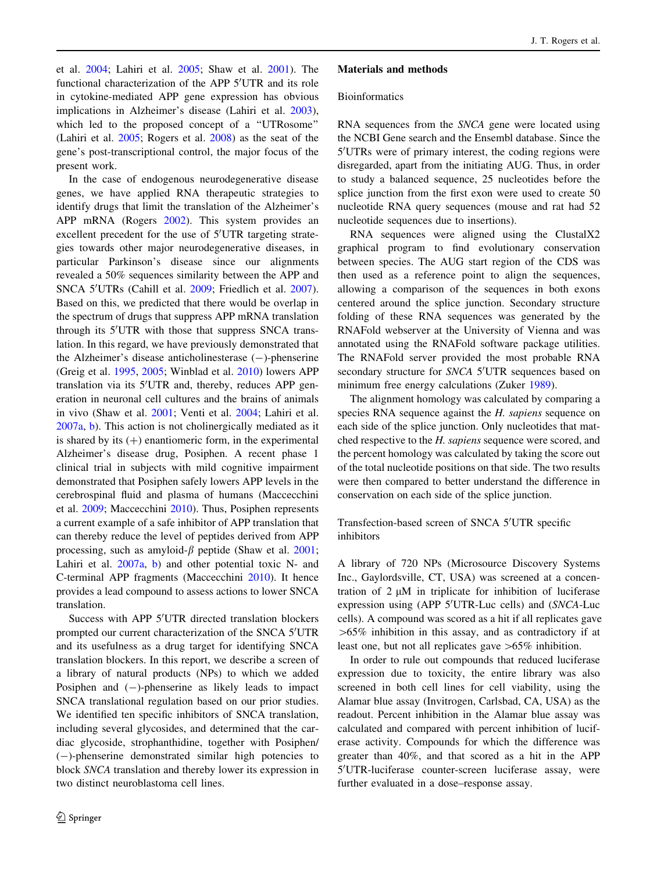et al. [2004;](#page-12-0) Lahiri et al. [2005](#page-12-0); Shaw et al. [2001\)](#page-13-0). The functional characterization of the APP 5'UTR and its role in cytokine-mediated APP gene expression has obvious implications in Alzheimer's disease (Lahiri et al. [2003](#page-12-0)), which led to the proposed concept of a "UTRosome" (Lahiri et al. [2005](#page-12-0); Rogers et al. [2008](#page-13-0)) as the seat of the gene's post-transcriptional control, the major focus of the present work.

In the case of endogenous neurodegenerative disease genes, we have applied RNA therapeutic strategies to identify drugs that limit the translation of the Alzheimer's APP mRNA (Rogers [2002\)](#page-13-0). This system provides an excellent precedent for the use of 5'UTR targeting strategies towards other major neurodegenerative diseases, in particular Parkinson's disease since our alignments revealed a 50% sequences similarity between the APP and SNCA 5'UTRs (Cahill et al. [2009](#page-11-0); Friedlich et al. [2007](#page-12-0)). Based on this, we predicted that there would be overlap in the spectrum of drugs that suppress APP mRNA translation through its 5'UTR with those that suppress SNCA translation. In this regard, we have previously demonstrated that the Alzheimer's disease anticholinesterase  $(-)$ -phenserine (Greig et al. [1995](#page-12-0), [2005;](#page-12-0) Winblad et al. [2010\)](#page-14-0) lowers APP translation via its 5'UTR and, thereby, reduces APP generation in neuronal cell cultures and the brains of animals in vivo (Shaw et al. [2001](#page-13-0); Venti et al. [2004;](#page-13-0) Lahiri et al. [2007a](#page-12-0), [b](#page-12-0)). This action is not cholinergically mediated as it is shared by its  $(+)$  enantiomeric form, in the experimental Alzheimer's disease drug, Posiphen. A recent phase 1 clinical trial in subjects with mild cognitive impairment demonstrated that Posiphen safely lowers APP levels in the cerebrospinal fluid and plasma of humans (Maccecchini et al. [2009](#page-12-0); Maccecchini [2010](#page-12-0)). Thus, Posiphen represents a current example of a safe inhibitor of APP translation that can thereby reduce the level of peptides derived from APP processing, such as amyloid- $\beta$  peptide (Shaw et al. [2001](#page-13-0); Lahiri et al. [2007a,](#page-12-0) [b\)](#page-12-0) and other potential toxic N- and C-terminal APP fragments (Maccecchini [2010\)](#page-12-0). It hence provides a lead compound to assess actions to lower SNCA translation.

Success with APP 5'UTR directed translation blockers prompted our current characterization of the SNCA 5'UTR and its usefulness as a drug target for identifying SNCA translation blockers. In this report, we describe a screen of a library of natural products (NPs) to which we added Posiphen and  $(-)$ -phenserine as likely leads to impact SNCA translational regulation based on our prior studies. We identified ten specific inhibitors of SNCA translation, including several glycosides, and determined that the cardiac glycoside, strophanthidine, together with Posiphen/ (-)-phenserine demonstrated similar high potencies to block SNCA translation and thereby lower its expression in two distinct neuroblastoma cell lines.

#### Materials and methods

### **Bioinformatics**

RNA sequences from the *SNCA* gene were located using the NCBI Gene search and the Ensembl database. Since the 5'UTRs were of primary interest, the coding regions were disregarded, apart from the initiating AUG. Thus, in order to study a balanced sequence, 25 nucleotides before the splice junction from the first exon were used to create 50 nucleotide RNA query sequences (mouse and rat had 52 nucleotide sequences due to insertions).

RNA sequences were aligned using the ClustalX2 graphical program to find evolutionary conservation between species. The AUG start region of the CDS was then used as a reference point to align the sequences, allowing a comparison of the sequences in both exons centered around the splice junction. Secondary structure folding of these RNA sequences was generated by the RNAFold webserver at the University of Vienna and was annotated using the RNAFold software package utilities. The RNAFold server provided the most probable RNA secondary structure for SNCA 5'UTR sequences based on minimum free energy calculations (Zuker [1989\)](#page-14-0).

The alignment homology was calculated by comparing a species RNA sequence against the H. sapiens sequence on each side of the splice junction. Only nucleotides that matched respective to the H. sapiens sequence were scored, and the percent homology was calculated by taking the score out of the total nucleotide positions on that side. The two results were then compared to better understand the difference in conservation on each side of the splice junction.

Transfection-based screen of SNCA 5'UTR specific inhibitors

A library of 720 NPs (Microsource Discovery Systems Inc., Gaylordsville, CT, USA) was screened at a concentration of  $2 \mu M$  in triplicate for inhibition of luciferase expression using (APP 5'UTR-Luc cells) and (SNCA-Luc cells). A compound was scored as a hit if all replicates gave  $>65\%$  inhibition in this assay, and as contradictory if at least one, but not all replicates gave  $>65\%$  inhibition.

In order to rule out compounds that reduced luciferase expression due to toxicity, the entire library was also screened in both cell lines for cell viability, using the Alamar blue assay (Invitrogen, Carlsbad, CA, USA) as the readout. Percent inhibition in the Alamar blue assay was calculated and compared with percent inhibition of luciferase activity. Compounds for which the difference was greater than 40%, and that scored as a hit in the APP 5'UTR-luciferase counter-screen luciferase assay, were further evaluated in a dose–response assay.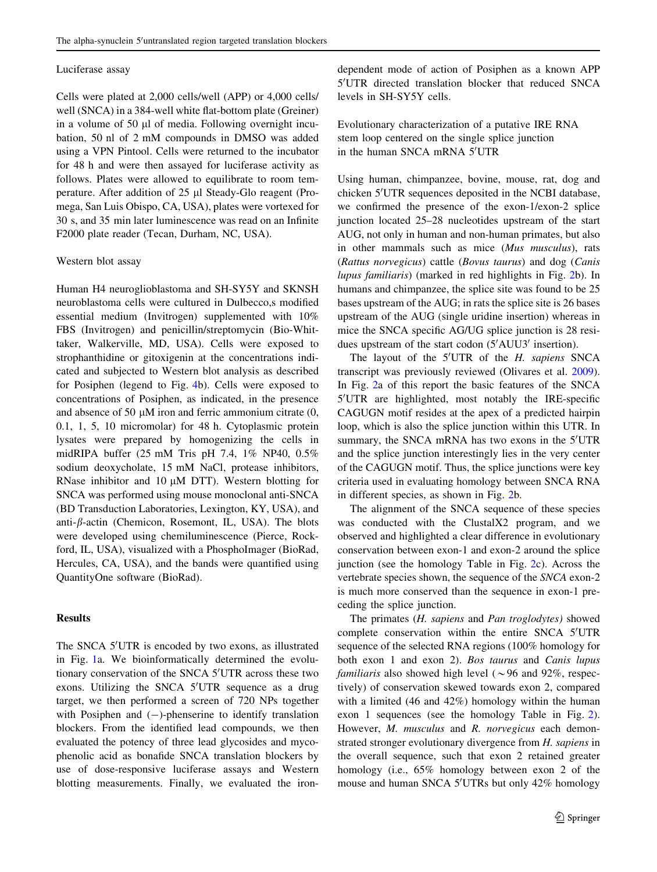#### Luciferase assay

Cells were plated at 2,000 cells/well (APP) or 4,000 cells/ well (SNCA) in a 384-well white flat-bottom plate (Greiner) in a volume of 50  $\mu$ l of media. Following overnight incubation, 50 nl of 2 mM compounds in DMSO was added using a VPN Pintool. Cells were returned to the incubator for 48 h and were then assayed for luciferase activity as follows. Plates were allowed to equilibrate to room temperature. After addition of 25 µl Steady-Glo reagent (Promega, San Luis Obispo, CA, USA), plates were vortexed for 30 s, and 35 min later luminescence was read on an Infinite F2000 plate reader (Tecan, Durham, NC, USA).

#### Western blot assay

Human H4 neuroglioblastoma and SH-SY5Y and SKNSH neuroblastoma cells were cultured in Dulbecco,s modified essential medium (Invitrogen) supplemented with 10% FBS (Invitrogen) and penicillin/streptomycin (Bio-Whittaker, Walkerville, MD, USA). Cells were exposed to strophanthidine or gitoxigenin at the concentrations indicated and subjected to Western blot analysis as described for Posiphen (legend to Fig. [4](#page-8-0)b). Cells were exposed to concentrations of Posiphen, as indicated, in the presence and absence of 50  $\mu$ M iron and ferric ammonium citrate  $(0,$ 0.1, 1, 5, 10 micromolar) for 48 h. Cytoplasmic protein lysates were prepared by homogenizing the cells in midRIPA buffer (25 mM Tris pH 7.4, 1% NP40, 0.5% sodium deoxycholate, 15 mM NaCl, protease inhibitors, RNase inhibitor and 10  $\mu$ M DTT). Western blotting for SNCA was performed using mouse monoclonal anti-SNCA (BD Transduction Laboratories, Lexington, KY, USA), and anti- $\beta$ -actin (Chemicon, Rosemont, IL, USA). The blots were developed using chemiluminescence (Pierce, Rockford, IL, USA), visualized with a PhosphoImager (BioRad, Hercules, CA, USA), and the bands were quantified using QuantityOne software (BioRad).

## Results

The SNCA 5'UTR is encoded by two exons, as illustrated in Fig. [1](#page-1-0)a. We bioinformatically determined the evolutionary conservation of the SNCA 5'UTR across these two exons. Utilizing the SNCA 5'UTR sequence as a drug target, we then performed a screen of 720 NPs together with Posiphen and  $(-)$ -phenserine to identify translation blockers. From the identified lead compounds, we then evaluated the potency of three lead glycosides and mycophenolic acid as bonafide SNCA translation blockers by use of dose-responsive luciferase assays and Western blotting measurements. Finally, we evaluated the ironEvolutionary characterization of a putative IRE RNA stem loop centered on the single splice junction in the human SNCA mRNA 5'UTR

Using human, chimpanzee, bovine, mouse, rat, dog and chicken 5'UTR sequences deposited in the NCBI database, we confirmed the presence of the exon-1/exon-2 splice junction located 25–28 nucleotides upstream of the start AUG, not only in human and non-human primates, but also in other mammals such as mice (Mus musculus), rats (Rattus norvegicus) cattle (Bovus taurus) and dog (Canis lupus familiaris) (marked in red highlights in Fig. [2](#page-5-0)b). In humans and chimpanzee, the splice site was found to be 25 bases upstream of the AUG; in rats the splice site is 26 bases upstream of the AUG (single uridine insertion) whereas in mice the SNCA specific AG/UG splice junction is 28 residues upstream of the start codon  $(5'AUU3')$  insertion).

The layout of the  $5'UTR$  of the  $H.$  sapiens SNCA transcript was previously reviewed (Olivares et al. [2009](#page-13-0)). In Fig. [2a](#page-5-0) of this report the basic features of the SNCA 5'UTR are highlighted, most notably the IRE-specific CAGUGN motif resides at the apex of a predicted hairpin loop, which is also the splice junction within this UTR. In summary, the SNCA mRNA has two exons in the 5'UTR and the splice junction interestingly lies in the very center of the CAGUGN motif. Thus, the splice junctions were key criteria used in evaluating homology between SNCA RNA in different species, as shown in Fig. [2b](#page-5-0).

The alignment of the SNCA sequence of these species was conducted with the ClustalX2 program, and we observed and highlighted a clear difference in evolutionary conservation between exon-1 and exon-2 around the splice junction (see the homology Table in Fig. [2](#page-5-0)c). Across the vertebrate species shown, the sequence of the SNCA exon-2 is much more conserved than the sequence in exon-1 preceding the splice junction.

The primates (H. sapiens and Pan troglodytes) showed complete conservation within the entire SNCA 5'UTR sequence of the selected RNA regions (100% homology for both exon 1 and exon 2). Bos taurus and Canis lupus familiaris also showed high level ( $\sim$ 96 and 92%, respectively) of conservation skewed towards exon 2, compared with a limited (46 and 42%) homology within the human exon 1 sequences (see the homology Table in Fig. [2](#page-5-0)). However, M. musculus and R. norvegicus each demonstrated stronger evolutionary divergence from H. sapiens in the overall sequence, such that exon 2 retained greater homology (i.e., 65% homology between exon 2 of the mouse and human SNCA 5'UTRs but only 42% homology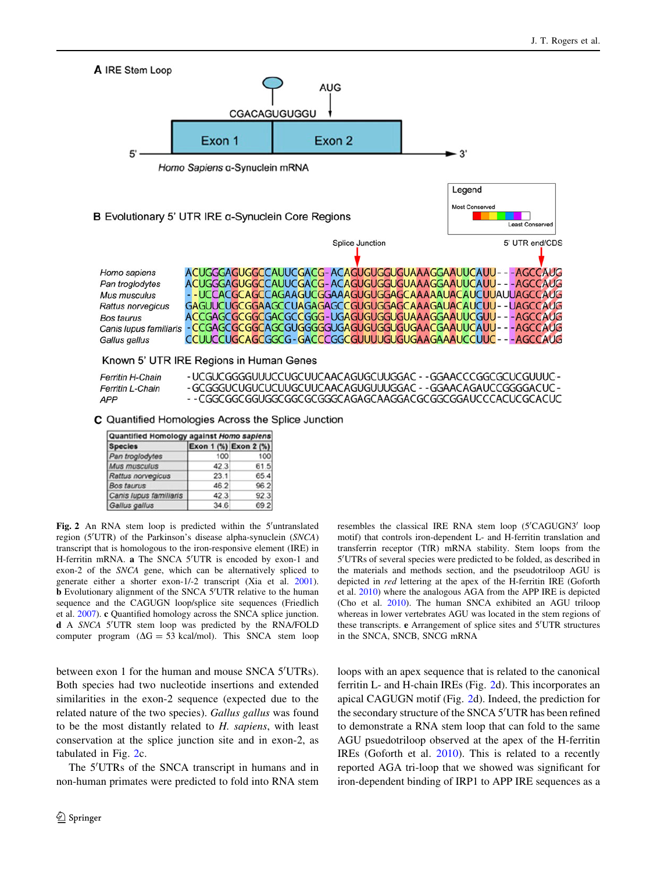

|  | - - CGGCGGCGGUGGCGGCGCGGGCAGAGCAAGGACGCGGCGGAUCCCACUCGCACUC |
|--|-------------------------------------------------------------|
|  |                                                             |

C Quantified Homologies Across the Splice Junction

| Quantified Homology against Homo sapiens |      |                       |  |  |
|------------------------------------------|------|-----------------------|--|--|
| <b>Species</b>                           |      | Exon 1 (%) Exon 2 (%) |  |  |
| Pan troglodytes                          | 100  | 100                   |  |  |
| Mus musculus                             | 42.3 | 61.5                  |  |  |
| Rattus norvegicus                        | 23.1 | 65.4                  |  |  |
| <b>Bos taurus</b>                        | 46.2 | 96.2                  |  |  |
| Canis lupus familiaris                   | 42.3 | 92.3                  |  |  |
| Gallus gallus                            | 34.6 | 69.2                  |  |  |

APP

Fig. 2 An RNA stem loop is predicted within the 5'untranslated region (5'UTR) of the Parkinson's disease alpha-synuclein (SNCA) transcript that is homologous to the iron-responsive element (IRE) in H-ferritin mRNA. a The SNCA 5'UTR is encoded by exon-1 and exon-2 of the SNCA gene, which can be alternatively spliced to generate either a shorter exon-1/-2 transcript (Xia et al. [2001](#page-14-0)). **b** Evolutionary alignment of the SNCA 5'UTR relative to the human sequence and the CAGUGN loop/splice site sequences (Friedlich et al. [2007](#page-12-0)). c Quantified homology across the SNCA splice junction. d A SNCA 5'UTR stem loop was predicted by the RNA/FOLD computer program  $(\Delta G = 53 \text{ kcal/mol})$ . This SNCA stem loop

between exon 1 for the human and mouse SNCA 5'UTRs). Both species had two nucleotide insertions and extended similarities in the exon-2 sequence (expected due to the related nature of the two species). Gallus gallus was found to be the most distantly related to H. sapiens, with least conservation at the splice junction site and in exon-2, as tabulated in Fig. [2](#page-5-0)c.

<span id="page-5-0"></span>The 5'UTRs of the SNCA transcript in humans and in non-human primates were predicted to fold into RNA stem

resembles the classical IRE RNA stem loop (5'CAGUGN3' loop motif) that controls iron-dependent L- and H-ferritin translation and transferrin receptor (TfR) mRNA stability. Stem loops from the 5'UTRs of several species were predicted to be folded, as described in the materials and methods section, and the pseudotriloop AGU is depicted in red lettering at the apex of the H-ferritin IRE (Goforth et al. [2010](#page-12-0)) where the analogous AGA from the APP IRE is depicted (Cho et al. [2010](#page-11-0)). The human SNCA exhibited an AGU triloop whereas in lower vertebrates AGU was located in the stem regions of these transcripts. e Arrangement of splice sites and 5'UTR structures in the SNCA, SNCB, SNCG mRNA

loops with an apex sequence that is related to the canonical ferritin L- and H-chain IREs (Fig. [2d](#page-5-0)). This incorporates an apical CAGUGN motif (Fig. [2](#page-5-0)d). Indeed, the prediction for the secondary structure of the SNCA 5'UTR has been refined to demonstrate a RNA stem loop that can fold to the same AGU psuedotriloop observed at the apex of the H-ferritin IREs (Goforth et al. [2010\)](#page-12-0). This is related to a recently reported AGA tri-loop that we showed was significant for iron-dependent binding of IRP1 to APP IRE sequences as a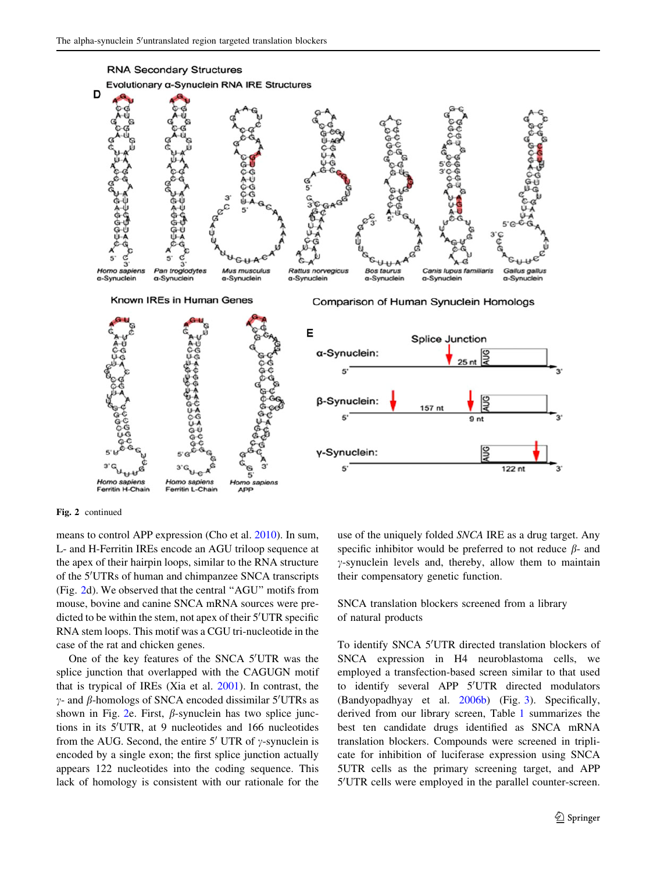

Fig. 2 continued

means to control APP expression (Cho et al. [2010\)](#page-11-0). In sum, L- and H-Ferritin IREs encode an AGU triloop sequence at the apex of their hairpin loops, similar to the RNA structure of the 5'UTRs of human and chimpanzee SNCA transcripts (Fig. [2](#page-5-0)d). We observed that the central ''AGU'' motifs from mouse, bovine and canine SNCA mRNA sources were predicted to be within the stem, not apex of their 5'UTR specific RNA stem loops. This motif was a CGU tri-nucleotide in the case of the rat and chicken genes.

One of the key features of the SNCA 5'UTR was the splice junction that overlapped with the CAGUGN motif that is trypical of IREs (Xia et al. [2001](#page-14-0)). In contrast, the  $\gamma$ - and  $\beta$ -homologs of SNCA encoded dissimilar 5'UTRs as shown in Fig. [2](#page-5-0)e. First,  $\beta$ -synuclein has two splice junctions in its 5'UTR, at 9 nucleotides and 166 nucleotides from the AUG. Second, the entire 5' UTR of  $\gamma$ -synuclein is encoded by a single exon; the first splice junction actually appears 122 nucleotides into the coding sequence. This lack of homology is consistent with our rationale for the use of the uniquely folded SNCA IRE as a drug target. Any specific inhibitor would be preferred to not reduce  $\beta$ - and  $\gamma$ -synuclein levels and, thereby, allow them to maintain their compensatory genetic function.

SNCA translation blockers screened from a library of natural products

To identify SNCA 5'UTR directed translation blockers of SNCA expression in H4 neuroblastoma cells, we employed a transfection-based screen similar to that used to identify several APP 5'UTR directed modulators (Bandyopadhyay et al. [2006b](#page-11-0)) (Fig. [3](#page-7-0)). Specifically, derived from our library screen, Table [1](#page-7-0) summarizes the best ten candidate drugs identified as SNCA mRNA translation blockers. Compounds were screened in triplicate for inhibition of luciferase expression using SNCA 5UTR cells as the primary screening target, and APP 5'UTR cells were employed in the parallel counter-screen.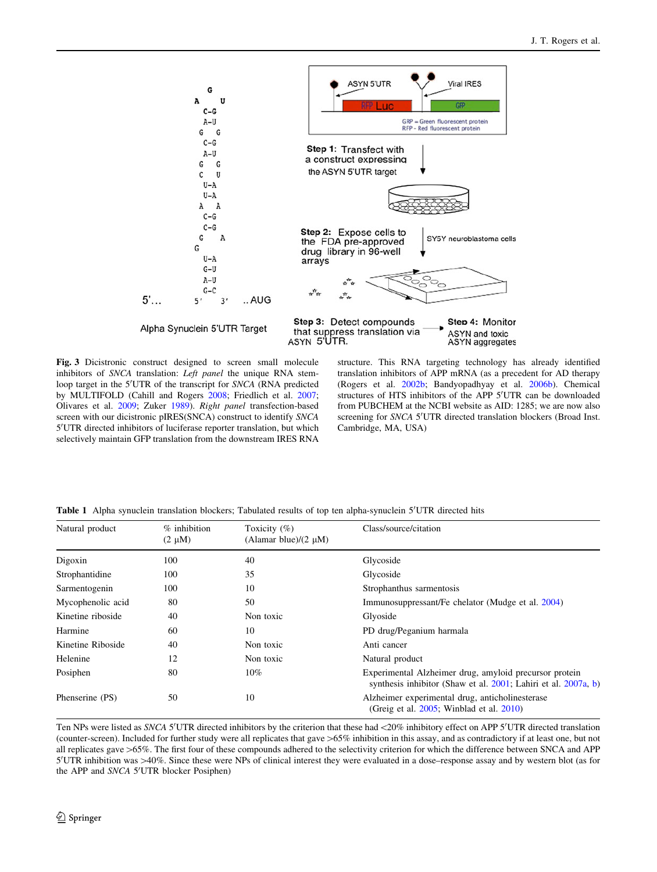

Fig. 3 Dicistronic construct designed to screen small molecule inhibitors of SNCA translation: Left panel the unique RNA stemloop target in the 5'UTR of the transcript for SNCA (RNA predicted by MULTIFOLD (Cahill and Rogers [2008;](#page-11-0) Friedlich et al. [2007;](#page-12-0) Olivares et al. [2009;](#page-13-0) Zuker [1989\)](#page-14-0). Right panel transfection-based screen with our dicistronic pIRES(SNCA) construct to identify SNCA 5'UTR directed inhibitors of luciferase reporter translation, but which selectively maintain GFP translation from the downstream IRES RNA

structure. This RNA targeting technology has already identified translation inhibitors of APP mRNA (as a precedent for AD therapy (Rogers et al. [2002b](#page-13-0); Bandyopadhyay et al. [2006b](#page-11-0)). Chemical structures of HTS inhibitors of the APP 5'UTR can be downloaded from PUBCHEM at the NCBI website as AID: 1285; we are now also screening for SNCA 5'UTR directed translation blockers (Broad Inst. Cambridge, MA, USA)

Table 1 Alpha synuclein translation blockers; Tabulated results of top ten alpha-synuclein 5'UTR directed hits

| Natural product   | $%$ inhibition<br>$(2 \mu M)$ | Toxicity $(\% )$<br>(Alamar blue)/ $(2 \mu M)$ | Class/source/citation                                                                                                    |  |
|-------------------|-------------------------------|------------------------------------------------|--------------------------------------------------------------------------------------------------------------------------|--|
| Digoxin           | 100                           | 40                                             | Glycoside                                                                                                                |  |
| Strophantidine    | 100                           | 35                                             | Glycoside                                                                                                                |  |
| Sarmentogenin     | 100                           | 10                                             | Strophanthus sarmentosis                                                                                                 |  |
| Mycophenolic acid | 80                            | 50                                             | Immunosuppressant/Fe chelator (Mudge et al. 2004)                                                                        |  |
| Kinetine riboside | 40                            | Non toxic                                      | Glyoside                                                                                                                 |  |
| Harmine           | 60                            | 10                                             | PD drug/Peganium harmala                                                                                                 |  |
| Kinetine Riboside | 40                            | Non toxic                                      | Anti cancer                                                                                                              |  |
| Helenine          | 12                            | Non toxic                                      | Natural product                                                                                                          |  |
| Posiphen          | 80                            | $10\%$                                         | Experimental Alzheimer drug, amyloid precursor protein<br>synthesis inhibitor (Shaw et al. 2001; Lahiri et al. 2007a, b) |  |
| Phenserine (PS)   | 50                            | 10                                             | Alzheimer experimental drug, anticholinesterase<br>(Greig et al. $2005$ ; Winblad et al. $2010$ )                        |  |

<span id="page-7-0"></span>Ten NPs were listed as SNCA 5'UTR directed inhibitors by the criterion that these had <20% inhibitory effect on APP 5'UTR directed translation (counter-screen). Included for further study were all replicates that gave >65% inhibition in this assay, and as contradictory if at least one, but not all replicates gave >65%. The first four of these compounds adhered to the selectivity criterion for which the difference between SNCA and APP 5'UTR inhibition was >40%. Since these were NPs of clinical interest they were evaluated in a dose–response assay and by western blot (as for the APP and SNCA 5'UTR blocker Posiphen)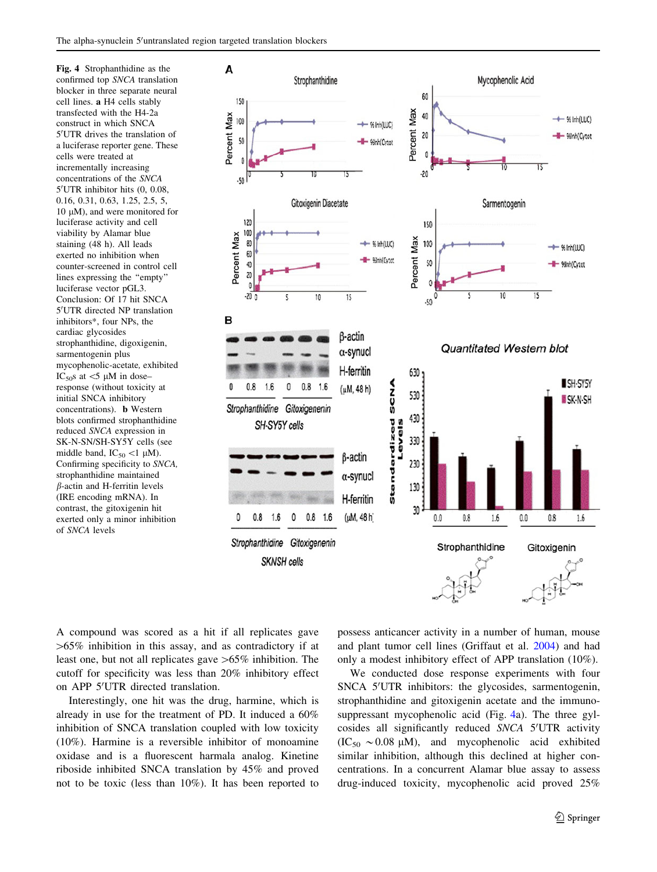Fig. 4 Strophanthidine as the confirmed top SNCA translation blocker in three separate neural cell lines. a H4 cells stably transfected with the H4-2a construct in which SNCA 5'UTR drives the translation of a luciferase reporter gene. These cells were treated at incrementally increasing concentrations of the SNCA 5'UTR inhibitor hits (0, 0.08, 0.16, 0.31, 0.63, 1.25, 2.5, 5, 10  $\mu$ M), and were monitored for luciferase activity and cell viability by Alamar blue staining (48 h). All leads exerted no inhibition when counter-screened in control cell lines expressing the ''empty'' luciferase vector pGL3. Conclusion: Of 17 hit SNCA 5'UTR directed NP translation inhibitors\*, four NPs, the cardiac glycosides strophanthidine, digoxigenin, sarmentogenin plus mycophenolic-acetate, exhibited IC<sub>50</sub>s at  $\lt$ 5  $\mu$ M in dose– response (without toxicity at initial SNCA inhibitory concentrations). b Western blots confirmed strophanthidine reduced SNCA expression in SK-N-SN/SH-SY5Y cells (see middle band,  $IC_{50}$  <1 µM). Confirming specificity to SNCA, strophanthidine maintained  $\beta$ -actin and H-ferritin levels (IRE encoding mRNA). In contrast, the gitoxigenin hit exerted only a minor inhibition of SNCA levels



A compound was scored as a hit if all replicates gave  $>65\%$  inhibition in this assay, and as contradictory if at least one, but not all replicates gave  $>65\%$  inhibition. The cutoff for specificity was less than 20% inhibitory effect on APP 5'UTR directed translation.

<span id="page-8-0"></span>Interestingly, one hit was the drug, harmine, which is already in use for the treatment of PD. It induced a 60% inhibition of SNCA translation coupled with low toxicity (10%). Harmine is a reversible inhibitor of monoamine oxidase and is a fluorescent harmala analog. Kinetine riboside inhibited SNCA translation by 45% and proved not to be toxic (less than 10%). It has been reported to possess anticancer activity in a number of human, mouse and plant tumor cell lines (Griffaut et al. [2004\)](#page-12-0) and had only a modest inhibitory effect of APP translation (10%).

We conducted dose response experiments with four SNCA 5'UTR inhibitors: the glycosides, sarmentogenin, strophanthidine and gitoxigenin acetate and the immunosuppressant mycophenolic acid (Fig. [4a](#page-8-0)). The three gylcosides all significantly reduced SNCA 5'UTR activity  $(IC_{50} \sim 0.08 \mu M)$ , and mycophenolic acid exhibited similar inhibition, although this declined at higher concentrations. In a concurrent Alamar blue assay to assess drug-induced toxicity, mycophenolic acid proved 25%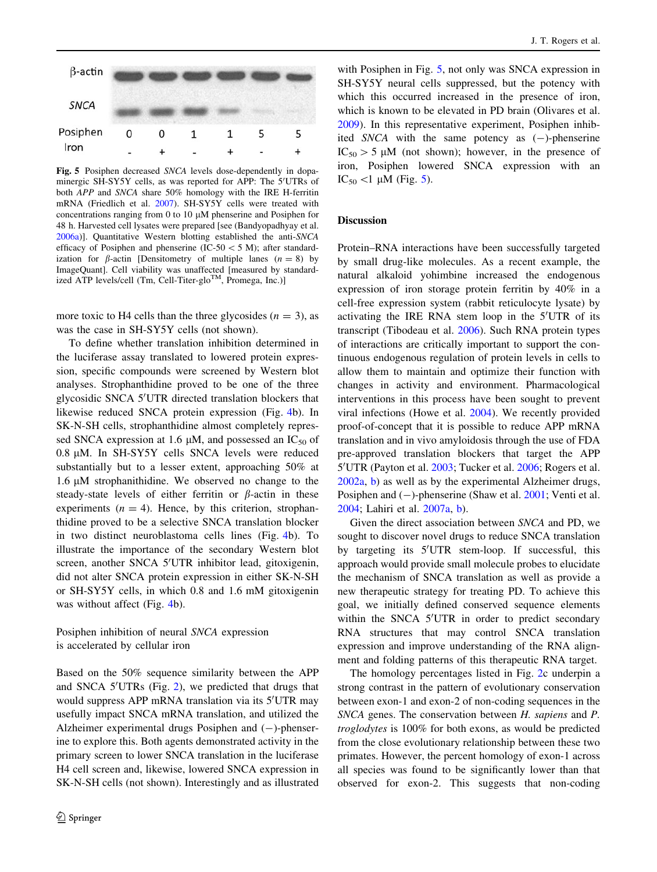

Fig. 5 Posiphen decreased SNCA levels dose-dependently in dopaminergic SH-SY5Y cells, as was reported for APP: The 5'UTRs of both APP and SNCA share 50% homology with the IRE H-ferritin mRNA (Friedlich et al. [2007\)](#page-12-0). SH-SY5Y cells were treated with concentrations ranging from 0 to 10  $\mu$ M phenserine and Posiphen for 48 h. Harvested cell lysates were prepared [see (Bandyopadhyay et al. [2006a\)](#page-11-0)]. Quantitative Western blotting established the anti-SNCA efficacy of Posiphen and phenserine (IC-50  $<$  5 M); after standardization for  $\beta$ -actin [Densitometry of multiple lanes  $(n = 8)$  by ImageQuant]. Cell viability was unaffected [measured by standardized ATP levels/cell (Tm, Cell-Titer-glo<sup>TM</sup>, Promega, Inc.)]

more toxic to H4 cells than the three glycosides  $(n = 3)$ , as was the case in SH-SY5Y cells (not shown).

To define whether translation inhibition determined in the luciferase assay translated to lowered protein expression, specific compounds were screened by Western blot analyses. Strophanthidine proved to be one of the three glycosidic SNCA 5'UTR directed translation blockers that likewise reduced SNCA protein expression (Fig. [4](#page-8-0)b). In SK-N-SH cells, strophanthidine almost completely repressed SNCA expression at 1.6  $\mu$ M, and possessed an IC<sub>50</sub> of  $0.8 \mu M$ . In SH-SY5Y cells SNCA levels were reduced substantially but to a lesser extent, approaching 50% at  $1.6 \mu M$  strophanithidine. We observed no change to the steady-state levels of either ferritin or  $\beta$ -actin in these experiments  $(n = 4)$ . Hence, by this criterion, strophanthidine proved to be a selective SNCA translation blocker in two distinct neuroblastoma cells lines (Fig. [4](#page-8-0)b). To illustrate the importance of the secondary Western blot screen, another SNCA 5'UTR inhibitor lead, gitoxigenin, did not alter SNCA protein expression in either SK-N-SH or SH-SY5Y cells, in which 0.8 and 1.6 mM gitoxigenin was without affect (Fig. [4](#page-8-0)b).

Posiphen inhibition of neural SNCA expression is accelerated by cellular iron

<span id="page-9-0"></span>Based on the 50% sequence similarity between the APP and SNCA 5'UTRs (Fig. [2](#page-5-0)), we predicted that drugs that would suppress APP mRNA translation via its 5'UTR may usefully impact SNCA mRNA translation, and utilized the Alzheimer experimental drugs Posiphen and  $(-)$ -phenserine to explore this. Both agents demonstrated activity in the primary screen to lower SNCA translation in the luciferase H4 cell screen and, likewise, lowered SNCA expression in SK-N-SH cells (not shown). Interestingly and as illustrated

with Posiphen in Fig. [5](#page-9-0), not only was SNCA expression in SH-SY5Y neural cells suppressed, but the potency with which this occurred increased in the presence of iron, which is known to be elevated in PD brain (Olivares et al. [2009](#page-13-0)). In this representative experiment, Posiphen inhibited  $SNCA$  with the same potency as  $(-)$ -phenserine  $IC_{50} > 5 \mu M$  (not shown); however, in the presence of iron, Posiphen lowered SNCA expression with an IC<sub>50</sub> <1  $\mu$ M (Fig. [5\)](#page-9-0).

# **Discussion**

Protein–RNA interactions have been successfully targeted by small drug-like molecules. As a recent example, the natural alkaloid yohimbine increased the endogenous expression of iron storage protein ferritin by 40% in a cell-free expression system (rabbit reticulocyte lysate) by activating the IRE RNA stem loop in the 5'UTR of its transcript (Tibodeau et al. [2006](#page-13-0)). Such RNA protein types of interactions are critically important to support the continuous endogenous regulation of protein levels in cells to allow them to maintain and optimize their function with changes in activity and environment. Pharmacological interventions in this process have been sought to prevent viral infections (Howe et al. [2004\)](#page-12-0). We recently provided proof-of-concept that it is possible to reduce APP mRNA translation and in vivo amyloidosis through the use of FDA pre-approved translation blockers that target the APP 5'UTR (Payton et al. [2003](#page-13-0); Tucker et al. [2006;](#page-13-0) Rogers et al. [2002a,](#page-13-0) [b](#page-13-0)) as well as by the experimental Alzheimer drugs, Posiphen and  $(-)$ -phenserine (Shaw et al. [2001](#page-13-0); Venti et al. [2004](#page-13-0); Lahiri et al. [2007a](#page-12-0), [b](#page-12-0)).

Given the direct association between SNCA and PD, we sought to discover novel drugs to reduce SNCA translation by targeting its 5'UTR stem-loop. If successful, this approach would provide small molecule probes to elucidate the mechanism of SNCA translation as well as provide a new therapeutic strategy for treating PD. To achieve this goal, we initially defined conserved sequence elements within the SNCA 5'UTR in order to predict secondary RNA structures that may control SNCA translation expression and improve understanding of the RNA alignment and folding patterns of this therapeutic RNA target.

The homology percentages listed in Fig. [2c](#page-5-0) underpin a strong contrast in the pattern of evolutionary conservation between exon-1 and exon-2 of non-coding sequences in the SNCA genes. The conservation between H. sapiens and P. troglodytes is 100% for both exons, as would be predicted from the close evolutionary relationship between these two primates. However, the percent homology of exon-1 across all species was found to be significantly lower than that observed for exon-2. This suggests that non-coding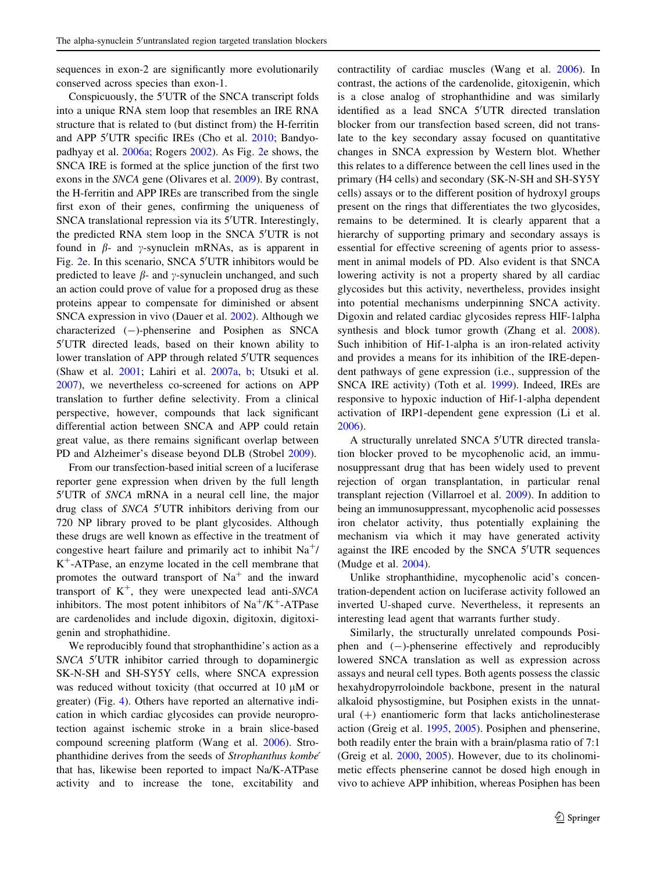sequences in exon-2 are significantly more evolutionarily conserved across species than exon-1.

Conspicuously, the 5'UTR of the SNCA transcript folds into a unique RNA stem loop that resembles an IRE RNA structure that is related to (but distinct from) the H-ferritin and APP 5'UTR specific IREs (Cho et al. [2010](#page-11-0); Bandyopadhyay et al. [2006a](#page-11-0); Rogers [2002](#page-13-0)). As Fig. [2](#page-5-0)e shows, the SNCA IRE is formed at the splice junction of the first two exons in the SNCA gene (Olivares et al. [2009](#page-13-0)). By contrast, the H-ferritin and APP IREs are transcribed from the single first exon of their genes, confirming the uniqueness of SNCA translational repression via its 5'UTR. Interestingly, the predicted RNA stem loop in the SNCA 5'UTR is not found in  $\beta$ - and  $\gamma$ -synuclein mRNAs, as is apparent in Fig. [2](#page-5-0)e. In this scenario, SNCA 5'UTR inhibitors would be predicted to leave  $\beta$ - and  $\gamma$ -synuclein unchanged, and such an action could prove of value for a proposed drug as these proteins appear to compensate for diminished or absent SNCA expression in vivo (Dauer et al. [2002\)](#page-11-0). Although we characterized  $(-)$ -phenserine and Posiphen as SNCA 5'UTR directed leads, based on their known ability to lower translation of APP through related 5'UTR sequences (Shaw et al. [2001;](#page-13-0) Lahiri et al. [2007a,](#page-12-0) [b](#page-12-0); Utsuki et al. [2007\)](#page-13-0), we nevertheless co-screened for actions on APP translation to further define selectivity. From a clinical perspective, however, compounds that lack significant differential action between SNCA and APP could retain great value, as there remains significant overlap between PD and Alzheimer's disease beyond DLB (Strobel [2009](#page-13-0)).

From our transfection-based initial screen of a luciferase reporter gene expression when driven by the full length 5'UTR of SNCA mRNA in a neural cell line, the major drug class of SNCA 5'UTR inhibitors deriving from our 720 NP library proved to be plant glycosides. Although these drugs are well known as effective in the treatment of congestive heart failure and primarily act to inhibit  $Na^{+}$ /  $K^+$ -ATPase, an enzyme located in the cell membrane that promotes the outward transport of  $Na<sup>+</sup>$  and the inward transport of  $K^+$ , they were unexpected lead anti-SNCA inhibitors. The most potent inhibitors of  $Na^+/K^+$ -ATPase are cardenolides and include digoxin, digitoxin, digitoxigenin and strophathidine.

We reproducibly found that strophanthidine's action as a SNCA 5'UTR inhibitor carried through to dopaminergic SK-N-SH and SH-SY5Y cells, where SNCA expression was reduced without toxicity (that occurred at  $10 \mu M$  or greater) (Fig. [4](#page-8-0)). Others have reported an alternative indication in which cardiac glycosides can provide neuroprotection against ischemic stroke in a brain slice-based compound screening platform (Wang et al. [2006\)](#page-13-0). Strophanthidine derives from the seeds of Strophanthus kombe<sup>´</sup> that has, likewise been reported to impact Na/K-ATPase activity and to increase the tone, excitability and

contractility of cardiac muscles (Wang et al. [2006\)](#page-13-0). In contrast, the actions of the cardenolide, gitoxigenin, which is a close analog of strophanthidine and was similarly identified as a lead SNCA 5'UTR directed translation blocker from our transfection based screen, did not translate to the key secondary assay focused on quantitative changes in SNCA expression by Western blot. Whether this relates to a difference between the cell lines used in the primary (H4 cells) and secondary (SK-N-SH and SH-SY5Y cells) assays or to the different position of hydroxyl groups present on the rings that differentiates the two glycosides, remains to be determined. It is clearly apparent that a hierarchy of supporting primary and secondary assays is essential for effective screening of agents prior to assessment in animal models of PD. Also evident is that SNCA lowering activity is not a property shared by all cardiac glycosides but this activity, nevertheless, provides insight into potential mechanisms underpinning SNCA activity. Digoxin and related cardiac glycosides repress HIF-1alpha synthesis and block tumor growth (Zhang et al. [2008](#page-14-0)). Such inhibition of Hif-1-alpha is an iron-related activity and provides a means for its inhibition of the IRE-dependent pathways of gene expression (i.e., suppression of the SNCA IRE activity) (Toth et al. [1999\)](#page-13-0). Indeed, IREs are responsive to hypoxic induction of Hif-1-alpha dependent activation of IRP1-dependent gene expression (Li et al. [2006](#page-12-0)).

A structurally unrelated SNCA 5'UTR directed translation blocker proved to be mycophenolic acid, an immunosuppressant drug that has been widely used to prevent rejection of organ transplantation, in particular renal transplant rejection (Villarroel et al. [2009](#page-13-0)). In addition to being an immunosuppressant, mycophenolic acid possesses iron chelator activity, thus potentially explaining the mechanism via which it may have generated activity against the IRE encoded by the SNCA 5'UTR sequences (Mudge et al. [2004\)](#page-12-0).

Unlike strophanthidine, mycophenolic acid's concentration-dependent action on luciferase activity followed an inverted U-shaped curve. Nevertheless, it represents an interesting lead agent that warrants further study.

Similarly, the structurally unrelated compounds Posiphen and  $(-)$ -phenserine effectively and reproducibly lowered SNCA translation as well as expression across assays and neural cell types. Both agents possess the classic hexahydropyrroloindole backbone, present in the natural alkaloid physostigmine, but Posiphen exists in the unnatural  $(+)$  enantiomeric form that lacks anticholinesterase action (Greig et al. [1995](#page-12-0), [2005](#page-12-0)). Posiphen and phenserine, both readily enter the brain with a brain/plasma ratio of 7:1 (Greig et al. [2000,](#page-12-0) [2005\)](#page-12-0). However, due to its cholinomimetic effects phenserine cannot be dosed high enough in vivo to achieve APP inhibition, whereas Posiphen has been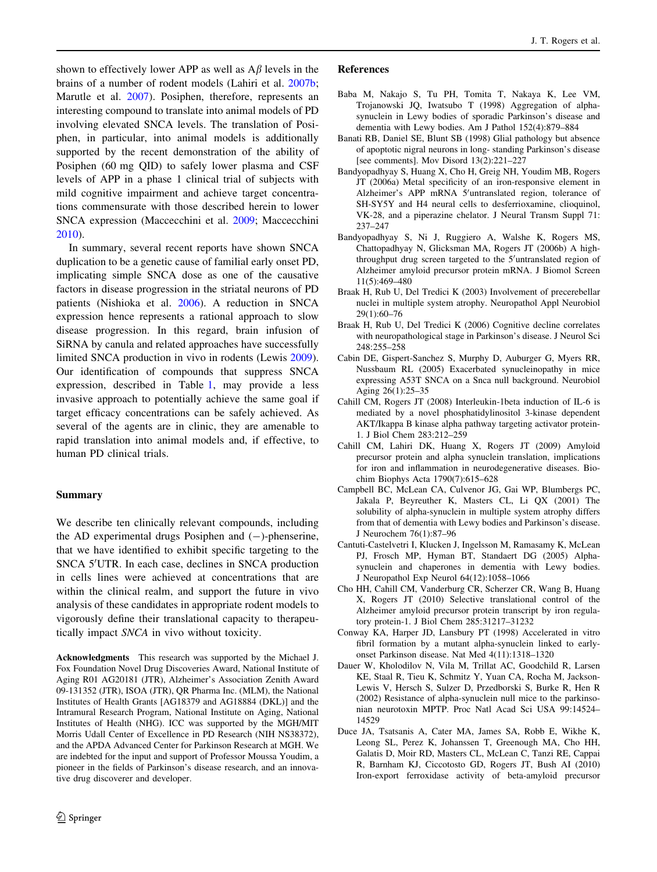shown to effectively lower APP as well as  $A\beta$  levels in the brains of a number of rodent models (Lahiri et al. [2007b](#page-12-0); Marutle et al. [2007](#page-12-0)). Posiphen, therefore, represents an interesting compound to translate into animal models of PD involving elevated SNCA levels. The translation of Posiphen, in particular, into animal models is additionally supported by the recent demonstration of the ability of Posiphen (60 mg QID) to safely lower plasma and CSF levels of APP in a phase 1 clinical trial of subjects with mild cognitive impairment and achieve target concentrations commensurate with those described herein to lower SNCA expression (Maccecchini et al. [2009](#page-12-0); Maccecchini [2010\)](#page-12-0).

In summary, several recent reports have shown SNCA duplication to be a genetic cause of familial early onset PD, implicating simple SNCA dose as one of the causative factors in disease progression in the striatal neurons of PD patients (Nishioka et al. [2006](#page-12-0)). A reduction in SNCA expression hence represents a rational approach to slow disease progression. In this regard, brain infusion of SiRNA by canula and related approaches have successfully limited SNCA production in vivo in rodents (Lewis [2009](#page-12-0)). Our identification of compounds that suppress SNCA expression, described in Table [1](#page-7-0), may provide a less invasive approach to potentially achieve the same goal if target efficacy concentrations can be safely achieved. As several of the agents are in clinic, they are amenable to rapid translation into animal models and, if effective, to human PD clinical trials.

# Summary

We describe ten clinically relevant compounds, including the AD experimental drugs Posiphen and  $(-)$ -phenserine, that we have identified to exhibit specific targeting to the SNCA 5'UTR. In each case, declines in SNCA production in cells lines were achieved at concentrations that are within the clinical realm, and support the future in vivo analysis of these candidates in appropriate rodent models to vigorously define their translational capacity to therapeutically impact SNCA in vivo without toxicity.

<span id="page-11-0"></span>Acknowledgments This research was supported by the Michael J. Fox Foundation Novel Drug Discoveries Award, National Institute of Aging R01 AG20181 (JTR), Alzheimer's Association Zenith Award 09-131352 (JTR), ISOA (JTR), QR Pharma Inc. (MLM), the National Institutes of Health Grants [AG18379 and AG18884 (DKL)] and the Intramural Research Program, National Institute on Aging, National Institutes of Health (NHG). ICC was supported by the MGH/MIT Morris Udall Center of Excellence in PD Research (NIH NS38372), and the APDA Advanced Center for Parkinson Research at MGH. We are indebted for the input and support of Professor Moussa Youdim, a pioneer in the fields of Parkinson's disease research, and an innovative drug discoverer and developer.

#### References

- Baba M, Nakajo S, Tu PH, Tomita T, Nakaya K, Lee VM, Trojanowski JQ, Iwatsubo T (1998) Aggregation of alphasynuclein in Lewy bodies of sporadic Parkinson's disease and dementia with Lewy bodies. Am J Pathol 152(4):879–884
- Banati RB, Daniel SE, Blunt SB (1998) Glial pathology but absence of apoptotic nigral neurons in long- standing Parkinson's disease [see comments]. Mov Disord 13(2):221–227
- Bandyopadhyay S, Huang X, Cho H, Greig NH, Youdim MB, Rogers JT (2006a) Metal specificity of an iron-responsive element in Alzheimer's APP mRNA 5'untranslated region, tolerance of SH-SY5Y and H4 neural cells to desferrioxamine, clioquinol, VK-28, and a piperazine chelator. J Neural Transm Suppl 71: 237–247
- Bandyopadhyay S, Ni J, Ruggiero A, Walshe K, Rogers MS, Chattopadhyay N, Glicksman MA, Rogers JT (2006b) A highthroughput drug screen targeted to the 5'untranslated region of Alzheimer amyloid precursor protein mRNA. J Biomol Screen 11(5):469–480
- Braak H, Rub U, Del Tredici K (2003) Involvement of precerebellar nuclei in multiple system atrophy. Neuropathol Appl Neurobiol 29(1):60–76
- Braak H, Rub U, Del Tredici K (2006) Cognitive decline correlates with neuropathological stage in Parkinson's disease. J Neurol Sci 248:255–258
- Cabin DE, Gispert-Sanchez S, Murphy D, Auburger G, Myers RR, Nussbaum RL (2005) Exacerbated synucleinopathy in mice expressing A53T SNCA on a Snca null background. Neurobiol Aging 26(1):25–35
- Cahill CM, Rogers JT (2008) Interleukin-1beta induction of IL-6 is mediated by a novel phosphatidylinositol 3-kinase dependent AKT/Ikappa B kinase alpha pathway targeting activator protein-1. J Biol Chem 283:212–259
- Cahill CM, Lahiri DK, Huang X, Rogers JT (2009) Amyloid precursor protein and alpha synuclein translation, implications for iron and inflammation in neurodegenerative diseases. Biochim Biophys Acta 1790(7):615–628
- Campbell BC, McLean CA, Culvenor JG, Gai WP, Blumbergs PC, Jakala P, Beyreuther K, Masters CL, Li QX (2001) The solubility of alpha-synuclein in multiple system atrophy differs from that of dementia with Lewy bodies and Parkinson's disease. J Neurochem 76(1):87–96
- Cantuti-Castelvetri I, Klucken J, Ingelsson M, Ramasamy K, McLean PJ, Frosch MP, Hyman BT, Standaert DG (2005) Alphasynuclein and chaperones in dementia with Lewy bodies. J Neuropathol Exp Neurol 64(12):1058–1066
- Cho HH, Cahill CM, Vanderburg CR, Scherzer CR, Wang B, Huang X, Rogers JT (2010) Selective translational control of the Alzheimer amyloid precursor protein transcript by iron regulatory protein-1. J Biol Chem 285:31217–31232
- Conway KA, Harper JD, Lansbury PT (1998) Accelerated in vitro fibril formation by a mutant alpha-synuclein linked to earlyonset Parkinson disease. Nat Med 4(11):1318–1320
- Dauer W, Kholodilov N, Vila M, Trillat AC, Goodchild R, Larsen KE, Staal R, Tieu K, Schmitz Y, Yuan CA, Rocha M, Jackson-Lewis V, Hersch S, Sulzer D, Przedborski S, Burke R, Hen R (2002) Resistance of alpha-synuclein null mice to the parkinsonian neurotoxin MPTP. Proc Natl Acad Sci USA 99:14524– 14529
- Duce JA, Tsatsanis A, Cater MA, James SA, Robb E, Wikhe K, Leong SL, Perez K, Johanssen T, Greenough MA, Cho HH, Galatis D, Moir RD, Masters CL, McLean C, Tanzi RE, Cappai R, Barnham KJ, Ciccotosto GD, Rogers JT, Bush AI (2010) Iron-export ferroxidase activity of beta-amyloid precursor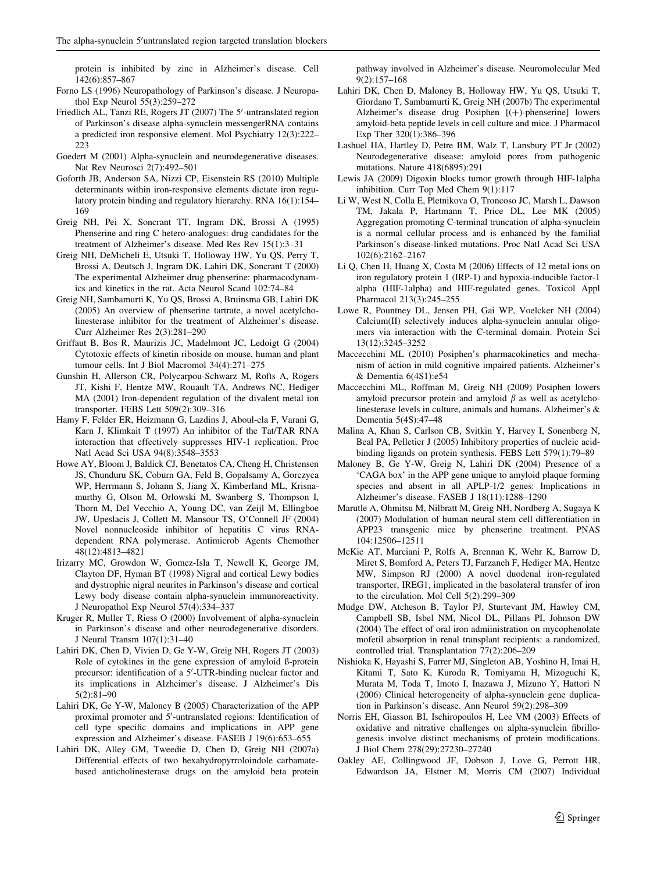protein is inhibited by zinc in Alzheimer's disease. Cell 142(6):857–867

- Forno LS (1996) Neuropathology of Parkinson's disease. J Neuropathol Exp Neurol 55(3):259–272
- Friedlich AL, Tanzi RE, Rogers JT (2007) The 5'-untranslated region of Parkinson's disease alpha-synuclein messengerRNA contains a predicted iron responsive element. Mol Psychiatry 12(3):222– 223
- Goedert M (2001) Alpha-synuclein and neurodegenerative diseases. Nat Rev Neurosci 2(7):492–501
- Goforth JB, Anderson SA, Nizzi CP, Eisenstein RS (2010) Multiple determinants within iron-responsive elements dictate iron regulatory protein binding and regulatory hierarchy. RNA 16(1):154– 169
- Greig NH, Pei X, Soncrant TT, Ingram DK, Brossi A (1995) Phenserine and ring C hetero-analogues: drug candidates for the treatment of Alzheimer's disease. Med Res Rev 15(1):3–31
- Greig NH, DeMicheli E, Utsuki T, Holloway HW, Yu QS, Perry T, Brossi A, Deutsch J, Ingram DK, Lahiri DK, Soncrant T (2000) The experimental Alzheimer drug phenserine: pharmacodynamics and kinetics in the rat. Acta Neurol Scand 102:74–84
- Greig NH, Sambamurti K, Yu QS, Brossi A, Bruinsma GB, Lahiri DK (2005) An overview of phenserine tartrate, a novel acetylcholinesterase inhibitor for the treatment of Alzheimer's disease. Curr Alzheimer Res 2(3):281–290
- Griffaut B, Bos R, Maurizis JC, Madelmont JC, Ledoigt G (2004) Cytotoxic effects of kinetin riboside on mouse, human and plant tumour cells. Int J Biol Macromol 34(4):271–275
- Gunshin H, Allerson CR, Polycarpou-Schwarz M, Rofts A, Rogers JT, Kishi F, Hentze MW, Rouault TA, Andrews NC, Hediger MA (2001) Iron-dependent regulation of the divalent metal ion transporter. FEBS Lett 509(2):309–316
- Hamy F, Felder ER, Heizmann G, Lazdins J, Aboul-ela F, Varani G, Karn J, Klimkait T (1997) An inhibitor of the Tat/TAR RNA interaction that effectively suppresses HIV-1 replication. Proc Natl Acad Sci USA 94(8):3548–3553
- Howe AY, Bloom J, Baldick CJ, Benetatos CA, Cheng H, Christensen JS, Chunduru SK, Coburn GA, Feld B, Gopalsamy A, Gorczyca WP, Herrmann S, Johann S, Jiang X, Kimberland ML, Krisnamurthy G, Olson M, Orlowski M, Swanberg S, Thompson I, Thorn M, Del Vecchio A, Young DC, van Zeijl M, Ellingboe JW, Upeslacis J, Collett M, Mansour TS, O'Connell JF (2004) Novel nonnucleoside inhibitor of hepatitis C virus RNAdependent RNA polymerase. Antimicrob Agents Chemother 48(12):4813–4821
- Irizarry MC, Growdon W, Gomez-Isla T, Newell K, George JM, Clayton DF, Hyman BT (1998) Nigral and cortical Lewy bodies and dystrophic nigral neurites in Parkinson's disease and cortical Lewy body disease contain alpha-synuclein immunoreactivity. J Neuropathol Exp Neurol 57(4):334–337
- Kruger R, Muller T, Riess O (2000) Involvement of alpha-synuclein in Parkinson's disease and other neurodegenerative disorders. J Neural Transm 107(1):31–40
- Lahiri DK, Chen D, Vivien D, Ge Y-W, Greig NH, Rogers JT (2003) Role of cytokines in the gene expression of amyloid ß-protein precursor: identification of a 5'-UTR-binding nuclear factor and its implications in Alzheimer's disease. J Alzheimer's Dis 5(2):81–90
- Lahiri DK, Ge Y-W, Maloney B (2005) Characterization of the APP proximal promoter and 5'-untranslated regions: Identification of cell type specific domains and implications in APP gene expression and Alzheimer's disease. FASEB J 19(6):653–655
- <span id="page-12-0"></span>Lahiri DK, Alley GM, Tweedie D, Chen D, Greig NH (2007a) Differential effects of two hexahydropyrroloindole carbamatebased anticholinesterase drugs on the amyloid beta protein

pathway involved in Alzheimer's disease. Neuromolecular Med 9(2):157–168

- Lahiri DK, Chen D, Maloney B, Holloway HW, Yu QS, Utsuki T, Giordano T, Sambamurti K, Greig NH (2007b) The experimental Alzheimer's disease drug Posiphen  $[(+)$ -phenserine] lowers amyloid-beta peptide levels in cell culture and mice. J Pharmacol Exp Ther 320(1):386–396
- Lashuel HA, Hartley D, Petre BM, Walz T, Lansbury PT Jr (2002) Neurodegenerative disease: amyloid pores from pathogenic mutations. Nature 418(6895):291
- Lewis JA (2009) Digoxin blocks tumor growth through HIF-1alpha inhibition. Curr Top Med Chem 9(1):117
- Li W, West N, Colla E, Pletnikova O, Troncoso JC, Marsh L, Dawson TM, Jakala P, Hartmann T, Price DL, Lee MK (2005) Aggregation promoting C-terminal truncation of alpha-synuclein is a normal cellular process and is enhanced by the familial Parkinson's disease-linked mutations. Proc Natl Acad Sci USA 102(6):2162–2167
- Li Q, Chen H, Huang X, Costa M (2006) Effects of 12 metal ions on iron regulatory protein 1 (IRP-1) and hypoxia-inducible factor-1 alpha (HIF-1alpha) and HIF-regulated genes. Toxicol Appl Pharmacol 213(3):245–255
- Lowe R, Pountney DL, Jensen PH, Gai WP, Voelcker NH (2004) Calcium(II) selectively induces alpha-synuclein annular oligomers via interaction with the C-terminal domain. Protein Sci 13(12):3245–3252
- Maccecchini ML (2010) Posiphen's pharmacokinetics and mechanism of action in mild cognitive impaired patients. Alzheimer's & Dementia 6(4S1):e54
- Maccecchini ML, Roffman M, Greig NH (2009) Posiphen lowers amyloid precursor protein and amyloid  $\beta$  as well as acetylcholinesterase levels in culture, animals and humans. Alzheimer's & Dementia 5(4S):47–48
- Malina A, Khan S, Carlson CB, Svitkin Y, Harvey I, Sonenberg N, Beal PA, Pelletier J (2005) Inhibitory properties of nucleic acidbinding ligands on protein synthesis. FEBS Lett 579(1):79–89
- Maloney B, Ge Y-W, Greig N, Lahiri DK (2004) Presence of a 'CAGA box' in the APP gene unique to amyloid plaque forming species and absent in all APLP-1/2 genes: Implications in Alzheimer's disease. FASEB J 18(11):1288–1290
- Marutle A, Ohmitsu M, Nilbratt M, Greig NH, Nordberg A, Sugaya K (2007) Modulation of human neural stem cell differentiation in APP23 transgenic mice by phenserine treatment. PNAS 104:12506–12511
- McKie AT, Marciani P, Rolfs A, Brennan K, Wehr K, Barrow D, Miret S, Bomford A, Peters TJ, Farzaneh F, Hediger MA, Hentze MW, Simpson RJ (2000) A novel duodenal iron-regulated transporter, IREG1, implicated in the basolateral transfer of iron to the circulation. Mol Cell 5(2):299–309
- Mudge DW, Atcheson B, Taylor PJ, Sturtevant JM, Hawley CM, Campbell SB, Isbel NM, Nicol DL, Pillans PI, Johnson DW (2004) The effect of oral iron admiinistration on mycophenolate mofetil absorption in renal transplant recipients: a randomized, controlled trial. Transplantation 77(2):206–209
- Nishioka K, Hayashi S, Farrer MJ, Singleton AB, Yoshino H, Imai H, Kitami T, Sato K, Kuroda R, Tomiyama H, Mizoguchi K, Murata M, Toda T, Imoto I, Inazawa J, Mizuno Y, Hattori N (2006) Clinical heterogeneity of alpha-synuclein gene duplication in Parkinson's disease. Ann Neurol 59(2):298–309
- Norris EH, Giasson BI, Ischiropoulos H, Lee VM (2003) Effects of oxidative and nitrative challenges on alpha-synuclein fibrillogenesis involve distinct mechanisms of protein modifications. J Biol Chem 278(29):27230–27240
- Oakley AE, Collingwood JF, Dobson J, Love G, Perrott HR, Edwardson JA, Elstner M, Morris CM (2007) Individual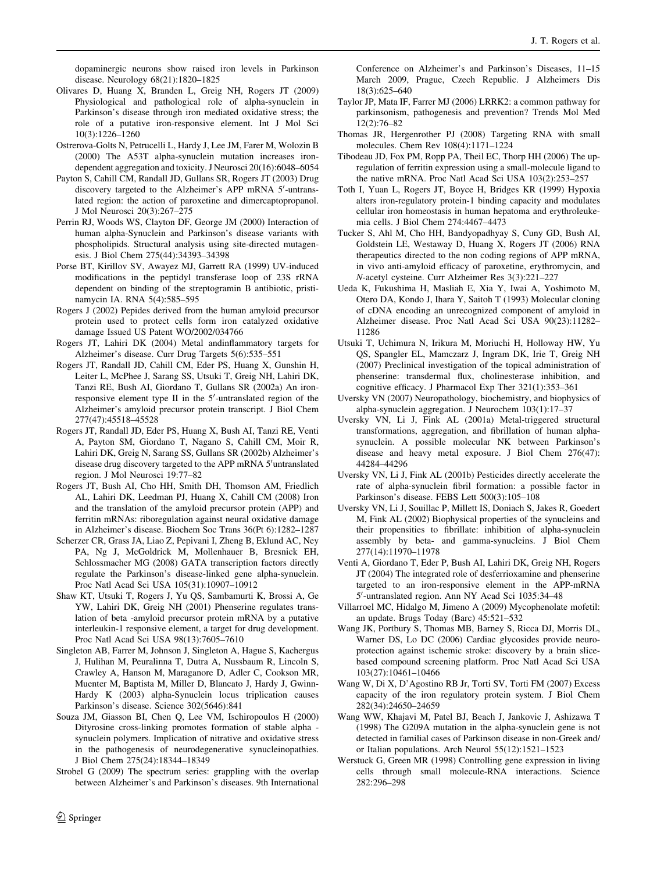dopaminergic neurons show raised iron levels in Parkinson disease. Neurology 68(21):1820–1825

- Olivares D, Huang X, Branden L, Greig NH, Rogers JT (2009) Physiological and pathological role of alpha-synuclein in Parkinson's disease through iron mediated oxidative stress; the role of a putative iron-responsive element. Int J Mol Sci 10(3):1226–1260
- Ostrerova-Golts N, Petrucelli L, Hardy J, Lee JM, Farer M, Wolozin B (2000) The A53T alpha-synuclein mutation increases irondependent aggregation and toxicity. J Neurosci 20(16):6048–6054
- Payton S, Cahill CM, Randall JD, Gullans SR, Rogers JT (2003) Drug discovery targeted to the Alzheimer's APP mRNA 5'-untranslated region: the action of paroxetine and dimercaptopropanol. J Mol Neurosci 20(3):267–275
- Perrin RJ, Woods WS, Clayton DF, George JM (2000) Interaction of human alpha-Synuclein and Parkinson's disease variants with phospholipids. Structural analysis using site-directed mutagenesis. J Biol Chem 275(44):34393–34398
- Porse BT, Kirillov SV, Awayez MJ, Garrett RA (1999) UV-induced modifications in the peptidyl transferase loop of 23S rRNA dependent on binding of the streptogramin B antibiotic, pristinamycin IA. RNA 5(4):585–595
- Rogers J (2002) Pepides derived from the human amyloid precursor protein used to protect cells form iron catalyzed oxidative damage Issued US Patent WO/2002/034766
- Rogers JT, Lahiri DK (2004) Metal andinflammatory targets for Alzheimer's disease. Curr Drug Targets 5(6):535–551
- Rogers JT, Randall JD, Cahill CM, Eder PS, Huang X, Gunshin H, Leiter L, McPhee J, Sarang SS, Utsuki T, Greig NH, Lahiri DK, Tanzi RE, Bush AI, Giordano T, Gullans SR (2002a) An ironresponsive element type II in the 5'-untranslated region of the Alzheimer's amyloid precursor protein transcript. J Biol Chem 277(47):45518–45528
- Rogers JT, Randall JD, Eder PS, Huang X, Bush AI, Tanzi RE, Venti A, Payton SM, Giordano T, Nagano S, Cahill CM, Moir R, Lahiri DK, Greig N, Sarang SS, Gullans SR (2002b) Alzheimer's disease drug discovery targeted to the APP mRNA 5'untranslated region. J Mol Neurosci 19:77–82
- Rogers JT, Bush AI, Cho HH, Smith DH, Thomson AM, Friedlich AL, Lahiri DK, Leedman PJ, Huang X, Cahill CM (2008) Iron and the translation of the amyloid precursor protein (APP) and ferritin mRNAs: riboregulation against neural oxidative damage in Alzheimer's disease. Biochem Soc Trans 36(Pt 6):1282–1287
- Scherzer CR, Grass JA, Liao Z, Pepivani I, Zheng B, Eklund AC, Ney PA, Ng J, McGoldrick M, Mollenhauer B, Bresnick EH, Schlossmacher MG (2008) GATA transcription factors directly regulate the Parkinson's disease-linked gene alpha-synuclein. Proc Natl Acad Sci USA 105(31):10907–10912
- Shaw KT, Utsuki T, Rogers J, Yu QS, Sambamurti K, Brossi A, Ge YW, Lahiri DK, Greig NH (2001) Phenserine regulates translation of beta -amyloid precursor protein mRNA by a putative interleukin-1 responsive element, a target for drug development. Proc Natl Acad Sci USA 98(13):7605–7610
- Singleton AB, Farrer M, Johnson J, Singleton A, Hague S, Kachergus J, Hulihan M, Peuralinna T, Dutra A, Nussbaum R, Lincoln S, Crawley A, Hanson M, Maraganore D, Adler C, Cookson MR, Muenter M, Baptista M, Miller D, Blancato J, Hardy J, Gwinn-Hardy K (2003) alpha-Synuclein locus triplication causes Parkinson's disease. Science 302(5646):841
- Souza JM, Giasson BI, Chen Q, Lee VM, Ischiropoulos H (2000) Dityrosine cross-linking promotes formation of stable alpha synuclein polymers. Implication of nitrative and oxidative stress in the pathogenesis of neurodegenerative synucleinopathies. J Biol Chem 275(24):18344–18349
- Strobel G (2009) The spectrum series: grappling with the overlap between Alzheimer's and Parkinson's diseases. 9th International

<span id="page-13-0"></span> $\textcircled{2}$  Springer

Conference on Alzheimer's and Parkinson's Diseases, 11–15 March 2009, Prague, Czech Republic. J Alzheimers Dis 18(3):625–640

- Taylor JP, Mata IF, Farrer MJ (2006) LRRK2: a common pathway for parkinsonism, pathogenesis and prevention? Trends Mol Med 12(2):76–82
- Thomas JR, Hergenrother PJ (2008) Targeting RNA with small molecules. Chem Rev 108(4):1171–1224
- Tibodeau JD, Fox PM, Ropp PA, Theil EC, Thorp HH (2006) The upregulation of ferritin expression using a small-molecule ligand to the native mRNA. Proc Natl Acad Sci USA 103(2):253–257
- Toth I, Yuan L, Rogers JT, Boyce H, Bridges KR (1999) Hypoxia alters iron-regulatory protein-1 binding capacity and modulates cellular iron homeostasis in human hepatoma and erythroleukemia cells. J Biol Chem 274:4467–4473
- Tucker S, Ahl M, Cho HH, Bandyopadhyay S, Cuny GD, Bush AI, Goldstein LE, Westaway D, Huang X, Rogers JT (2006) RNA therapeutics directed to the non coding regions of APP mRNA, in vivo anti-amyloid efficacy of paroxetine, erythromycin, and N-acetyl cysteine. Curr Alzheimer Res 3(3):221–227
- Ueda K, Fukushima H, Masliah E, Xia Y, Iwai A, Yoshimoto M, Otero DA, Kondo J, Ihara Y, Saitoh T (1993) Molecular cloning of cDNA encoding an unrecognized component of amyloid in Alzheimer disease. Proc Natl Acad Sci USA 90(23):11282– 11286
- Utsuki T, Uchimura N, Irikura M, Moriuchi H, Holloway HW, Yu QS, Spangler EL, Mamczarz J, Ingram DK, Irie T, Greig NH (2007) Preclinical investigation of the topical administration of phenserine: transdermal flux, cholinesterase inhibition, and cognitive efficacy. J Pharmacol Exp Ther 321(1):353–361
- Uversky VN (2007) Neuropathology, biochemistry, and biophysics of alpha-synuclein aggregation. J Neurochem 103(1):17–37
- Uversky VN, Li J, Fink AL (2001a) Metal-triggered structural transformations, aggregation, and fibrillation of human alphasynuclein. A possible molecular NK between Parkinson's disease and heavy metal exposure. J Biol Chem 276(47): 44284–44296
- Uversky VN, Li J, Fink AL (2001b) Pesticides directly accelerate the rate of alpha-synuclein fibril formation: a possible factor in Parkinson's disease. FEBS Lett 500(3):105–108
- Uversky VN, Li J, Souillac P, Millett IS, Doniach S, Jakes R, Goedert M, Fink AL (2002) Biophysical properties of the synucleins and their propensities to fibrillate: inhibition of alpha-synuclein assembly by beta- and gamma-synucleins. J Biol Chem 277(14):11970–11978
- Venti A, Giordano T, Eder P, Bush AI, Lahiri DK, Greig NH, Rogers JT (2004) The integrated role of desferrioxamine and phenserine targeted to an iron-responsive element in the APP-mRNA 5'-untranslated region. Ann NY Acad Sci 1035:34-48
- Villarroel MC, Hidalgo M, Jimeno A (2009) Mycophenolate mofetil: an update. Brugs Today (Barc) 45:521–532
- Wang JK, Portbury S, Thomas MB, Barney S, Ricca DJ, Morris DL, Warner DS, Lo DC (2006) Cardiac glycosides provide neuroprotection against ischemic stroke: discovery by a brain slicebased compound screening platform. Proc Natl Acad Sci USA 103(27):10461–10466
- Wang W, Di X, D'Agostino RB Jr, Torti SV, Torti FM (2007) Excess capacity of the iron regulatory protein system. J Biol Chem 282(34):24650–24659
- Wang WW, Khajavi M, Patel BJ, Beach J, Jankovic J, Ashizawa T (1998) The G209A mutation in the alpha-synuclein gene is not detected in familial cases of Parkinson disease in non-Greek and/ or Italian populations. Arch Neurol 55(12):1521–1523
- Werstuck G, Green MR (1998) Controlling gene expression in living cells through small molecule-RNA interactions. Science 282:296–298